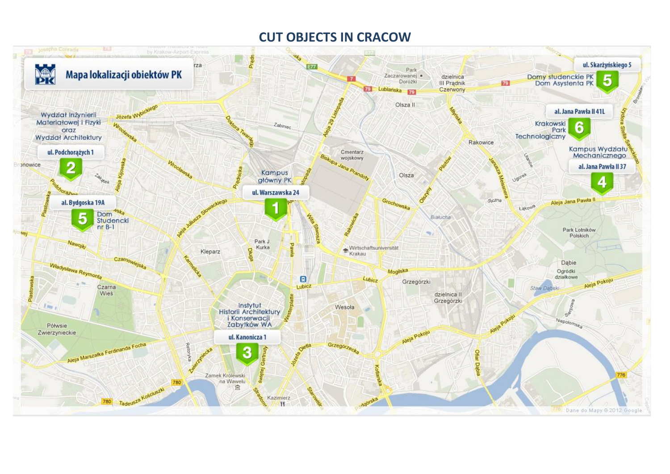# **CUT OBJECTS IN CRACOW**

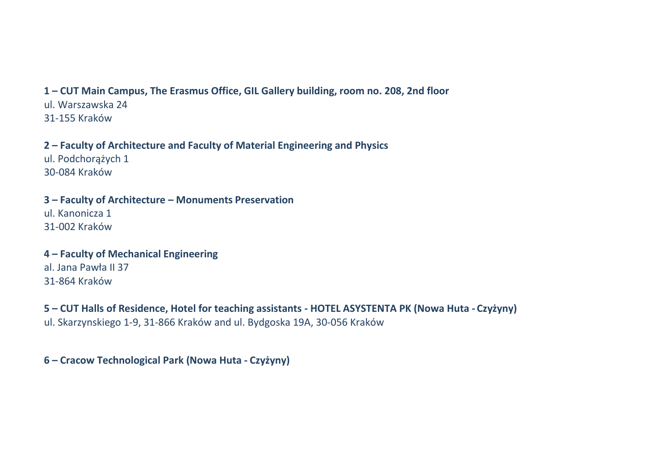## **1 – CUT Main Campus, The Erasmus Office, GIL Gallery building, room no. 208, 2nd floor**

ul. Warszawska 24 31-155 Kraków

# **2 – Faculty of Architecture and Faculty of Material Engineering and Physics**

ul. Podchorążych 1 30-084 Kraków

## **3 – Faculty of Architecture – Monuments Preservation**

ul. Kanonicza 1 31-002 Kraków

## **4 – Faculty of Mechanical Engineering** al. Jana Pawła II 37 31-864 Kraków

## **5 – CUT Halls of Residence, Hotel for teaching assistants - HOTEL ASYSTENTA PK (Nowa Huta - Czyżyny)** ul. Skarzynskiego 1-9, 31-866 Kraków and ul. Bydgoska 19A, 30-056 Kraków

## **6 – Cracow Technological Park (Nowa Huta - Czyżyny)**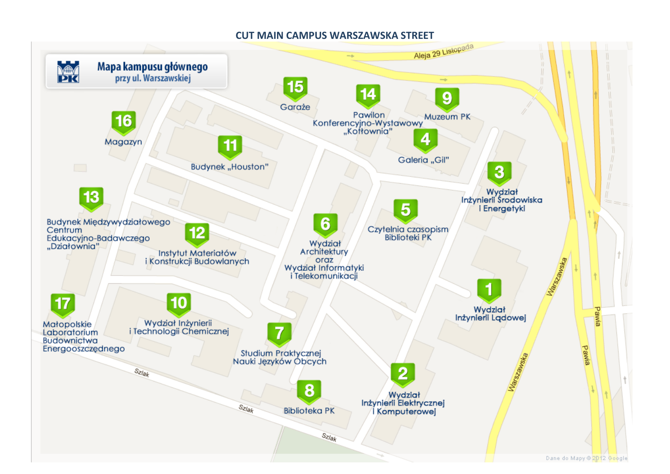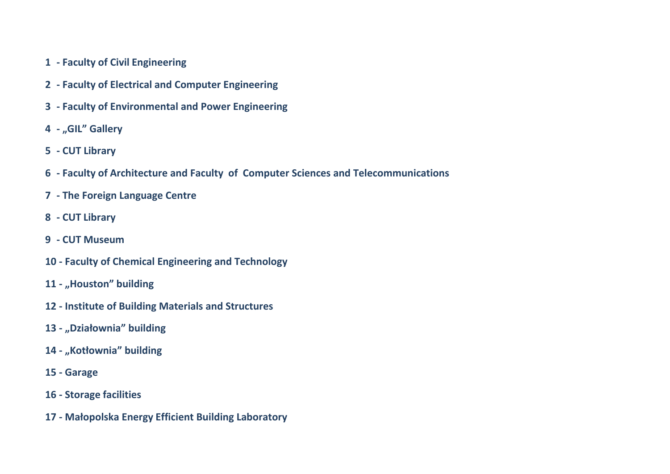- **- Faculty of Civil Engineering**
- **- Faculty of Electrical and Computer Engineering**
- **- Faculty of Environmental and Power Engineering**
- **- "GIL" Gallery**
- **- CUT Library**
- **- Faculty of Architecture and Faculty of Computer Sciences and Telecommunications**
- **- The Foreign Language Centre**
- **- CUT Library**
- **- CUT Museum**
- **- Faculty of Chemical Engineering and Technology**
- **- "Houston" building**
- **- Institute of Building Materials and Structures**
- **- "Działownia" building**
- **- "Kotłownia" building**
- **- Garage**
- **- Storage facilities**
- **- Małopolska Energy Efficient Building Laboratory**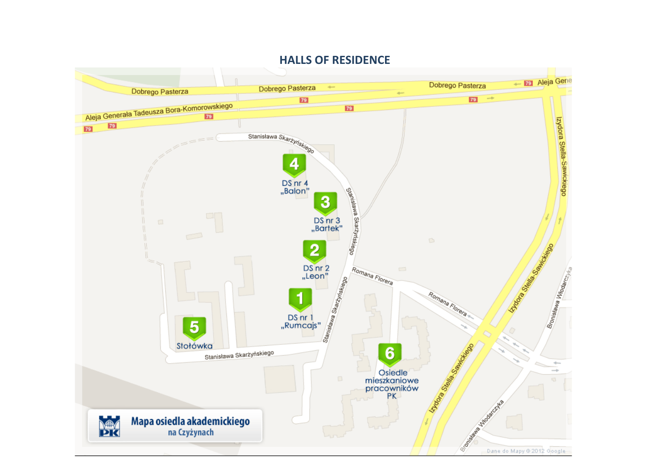

#### **HALLS OF RESIDENCE**